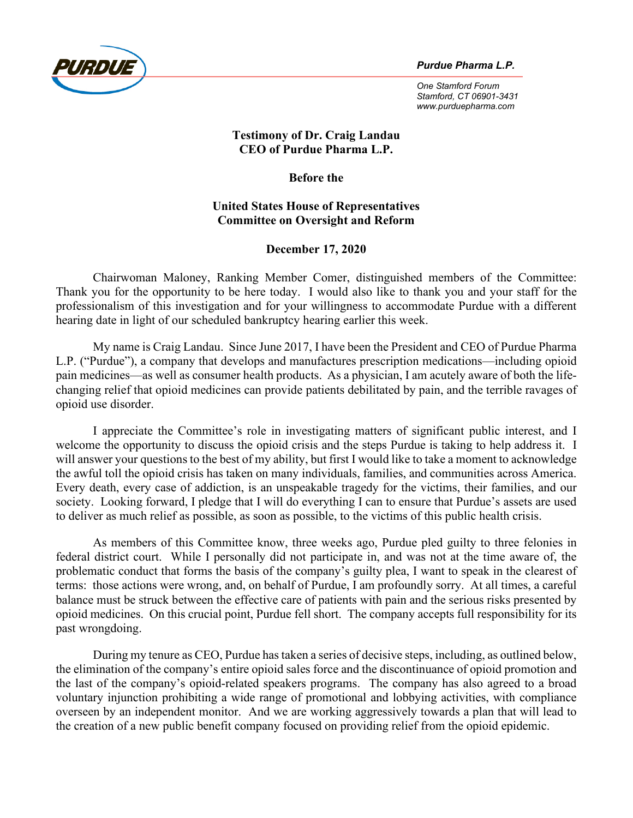

*One Stamford Forum Stamford, CT 06901-3431 www.purduepharma.com*

## **Testimony of Dr. Craig Landau CEO of Purdue Pharma L.P.**

**Before the**

## **United States House of Representatives Committee on Oversight and Reform**

# **December 17, 2020**

Chairwoman Maloney, Ranking Member Comer, distinguished members of the Committee: Thank you for the opportunity to be here today. I would also like to thank you and your staff for the professionalism of this investigation and for your willingness to accommodate Purdue with a different hearing date in light of our scheduled bankruptcy hearing earlier this week.

My name is Craig Landau. Since June 2017, I have been the President and CEO of Purdue Pharma L.P. ("Purdue"), a company that develops and manufactures prescription medications—including opioid pain medicines—as well as consumer health products. As a physician, I am acutely aware of both the lifechanging relief that opioid medicines can provide patients debilitated by pain, and the terrible ravages of opioid use disorder.

I appreciate the Committee's role in investigating matters of significant public interest, and I welcome the opportunity to discuss the opioid crisis and the steps Purdue is taking to help address it. I will answer your questions to the best of my ability, but first I would like to take a moment to acknowledge the awful toll the opioid crisis has taken on many individuals, families, and communities across America. Every death, every case of addiction, is an unspeakable tragedy for the victims, their families, and our society. Looking forward, I pledge that I will do everything I can to ensure that Purdue's assets are used to deliver as much relief as possible, as soon as possible, to the victims of this public health crisis.

As members of this Committee know, three weeks ago, Purdue pled guilty to three felonies in federal district court. While I personally did not participate in, and was not at the time aware of, the problematic conduct that forms the basis of the company's guilty plea, I want to speak in the clearest of terms: those actions were wrong, and, on behalf of Purdue, I am profoundly sorry. At all times, a careful balance must be struck between the effective care of patients with pain and the serious risks presented by opioid medicines. On this crucial point, Purdue fell short. The company accepts full responsibility for its past wrongdoing.

During my tenure as CEO, Purdue has taken a series of decisive steps, including, as outlined below, the elimination of the company's entire opioid sales force and the discontinuance of opioid promotion and the last of the company's opioid-related speakers programs. The company has also agreed to a broad voluntary injunction prohibiting a wide range of promotional and lobbying activities, with compliance overseen by an independent monitor. And we are working aggressively towards a plan that will lead to the creation of a new public benefit company focused on providing relief from the opioid epidemic.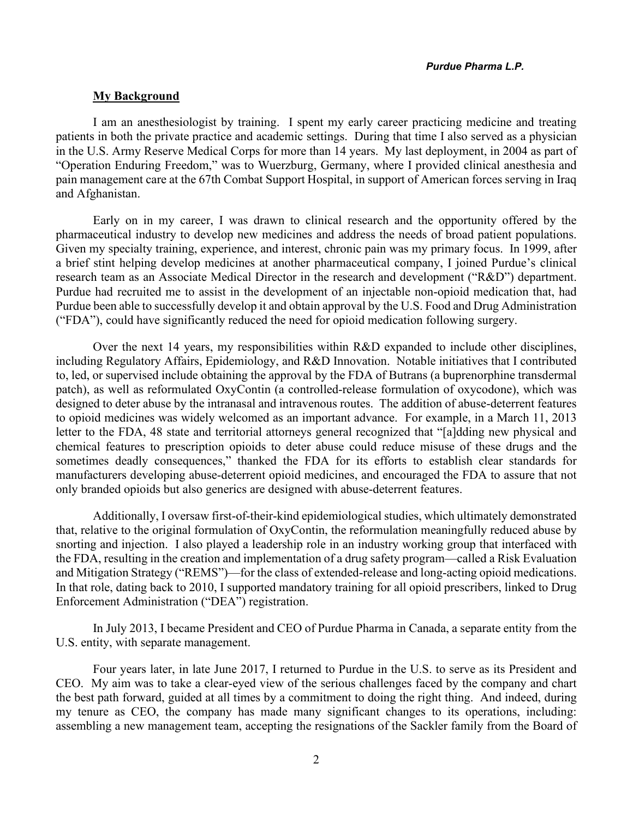### **My Background**

I am an anesthesiologist by training. I spent my early career practicing medicine and treating patients in both the private practice and academic settings. During that time I also served as a physician in the U.S. Army Reserve Medical Corps for more than 14 years. My last deployment, in 2004 as part of "Operation Enduring Freedom," was to Wuerzburg, Germany, where I provided clinical anesthesia and pain management care at the 67th Combat Support Hospital, in support of American forces serving in Iraq and Afghanistan.

Early on in my career, I was drawn to clinical research and the opportunity offered by the pharmaceutical industry to develop new medicines and address the needs of broad patient populations. Given my specialty training, experience, and interest, chronic pain was my primary focus. In 1999, after a brief stint helping develop medicines at another pharmaceutical company, I joined Purdue's clinical research team as an Associate Medical Director in the research and development ("R&D") department. Purdue had recruited me to assist in the development of an injectable non-opioid medication that, had Purdue been able to successfully develop it and obtain approval by the U.S. Food and Drug Administration ("FDA"), could have significantly reduced the need for opioid medication following surgery.

Over the next 14 years, my responsibilities within R&D expanded to include other disciplines, including Regulatory Affairs, Epidemiology, and R&D Innovation. Notable initiatives that I contributed to, led, or supervised include obtaining the approval by the FDA of Butrans (a buprenorphine transdermal patch), as well as reformulated OxyContin (a controlled-release formulation of oxycodone), which was designed to deter abuse by the intranasal and intravenous routes. The addition of abuse-deterrent features to opioid medicines was widely welcomed as an important advance. For example, in a March 11, 2013 letter to the FDA, 48 state and territorial attorneys general recognized that "[a]dding new physical and chemical features to prescription opioids to deter abuse could reduce misuse of these drugs and the sometimes deadly consequences," thanked the FDA for its efforts to establish clear standards for manufacturers developing abuse-deterrent opioid medicines, and encouraged the FDA to assure that not only branded opioids but also generics are designed with abuse-deterrent features.

Additionally, I oversaw first-of-their-kind epidemiological studies, which ultimately demonstrated that, relative to the original formulation of OxyContin, the reformulation meaningfully reduced abuse by snorting and injection. I also played a leadership role in an industry working group that interfaced with the FDA, resulting in the creation and implementation of a drug safety program—called a Risk Evaluation and Mitigation Strategy ("REMS")—for the class of extended-release and long-acting opioid medications. In that role, dating back to 2010, I supported mandatory training for all opioid prescribers, linked to Drug Enforcement Administration ("DEA") registration.

In July 2013, I became President and CEO of Purdue Pharma in Canada, a separate entity from the U.S. entity, with separate management.

Four years later, in late June 2017, I returned to Purdue in the U.S. to serve as its President and CEO. My aim was to take a clear-eyed view of the serious challenges faced by the company and chart the best path forward, guided at all times by a commitment to doing the right thing. And indeed, during my tenure as CEO, the company has made many significant changes to its operations, including: assembling a new management team, accepting the resignations of the Sackler family from the Board of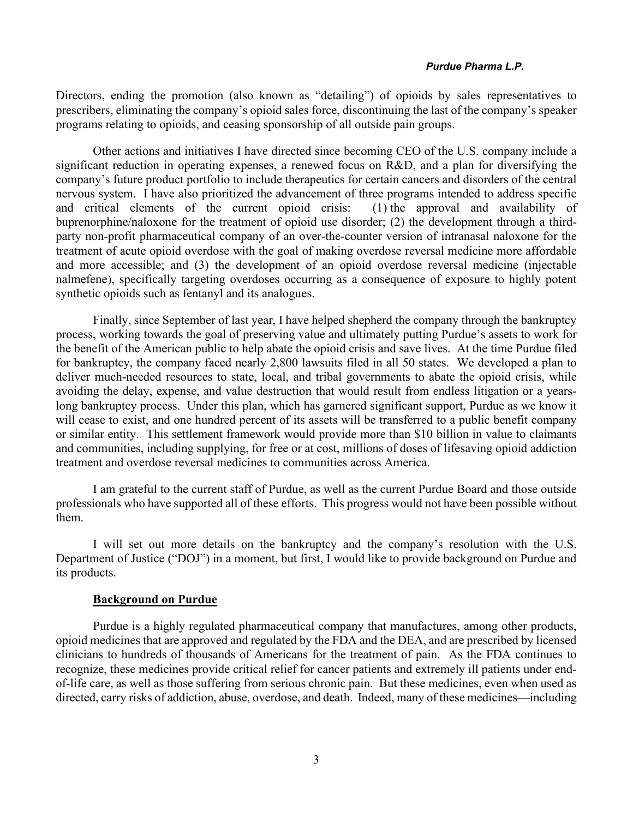Directors, ending the promotion (also known as "detailing") of opioids by sales representatives to prescribers, eliminating the company's opioid sales force, discontinuing the last of the company's speaker programs relating to opioids, and ceasing sponsorship of all outside pain groups.

Other actions and initiatives I have directed since becoming CEO of the U.S. company include a significant reduction in operating expenses, a renewed focus on R&D, and a plan for diversifying the company's future product portfolio to include therapeutics for certain cancers and disorders of the central nervous system. I have also prioritized the advancement of three programs intended to address specific and critical elements of the current opioid crisis: (1) the approval and availability of buprenorphine/naloxone for the treatment of opioid use disorder; (2) the development through a thirdparty non-profit pharmaceutical company of an over-the-counter version of intranasal naloxone for the treatment of acute opioid overdose with the goal of making overdose reversal medicine more affordable and more accessible; and (3) the development of an opioid overdose reversal medicine (injectable nalmefene), specifically targeting overdoses occurring as a consequence of exposure to highly potent synthetic opioids such as fentanyl and its analogues.

Finally, since September of last year, I have helped shepherd the company through the bankruptcy process, working towards the goal of preserving value and ultimately putting Purdue's assets to work for the benefit of the American public to help abate the opioid crisis and save lives. At the time Purdue filed for bankruptcy, the company faced nearly 2,800 lawsuits filed in all 50 states. We developed a plan to deliver much-needed resources to state, local, and tribal governments to abate the opioid crisis, while avoiding the delay, expense, and value destruction that would result from endless litigation or a yearslong bankruptcy process. Under this plan, which has garnered significant support, Purdue as we know it will cease to exist, and one hundred percent of its assets will be transferred to a public benefit company or similar entity. This settlement framework would provide more than \$10 billion in value to claimants and communities, including supplying, for free or at cost, millions of doses of lifesaving opioid addiction treatment and overdose reversal medicines to communities across America.

I am grateful to the current staff of Purdue, as well as the current Purdue Board and those outside professionals who have supported all of these efforts. This progress would not have been possible without them.

I will set out more details on the bankruptcy and the company's resolution with the U.S. Department of Justice ("DOJ") in a moment, but first, I would like to provide background on Purdue and its products.

## **Background on Purdue**

Purdue is a highly regulated pharmaceutical company that manufactures, among other products, opioid medicines that are approved and regulated by the FDA and the DEA, and are prescribed by licensed clinicians to hundreds of thousands of Americans for the treatment of pain. As the FDA continues to recognize, these medicines provide critical relief for cancer patients and extremely ill patients under endof-life care, as well as those suffering from serious chronic pain. But these medicines, even when used as directed, carry risks of addiction, abuse, overdose, and death. Indeed, many of these medicines—including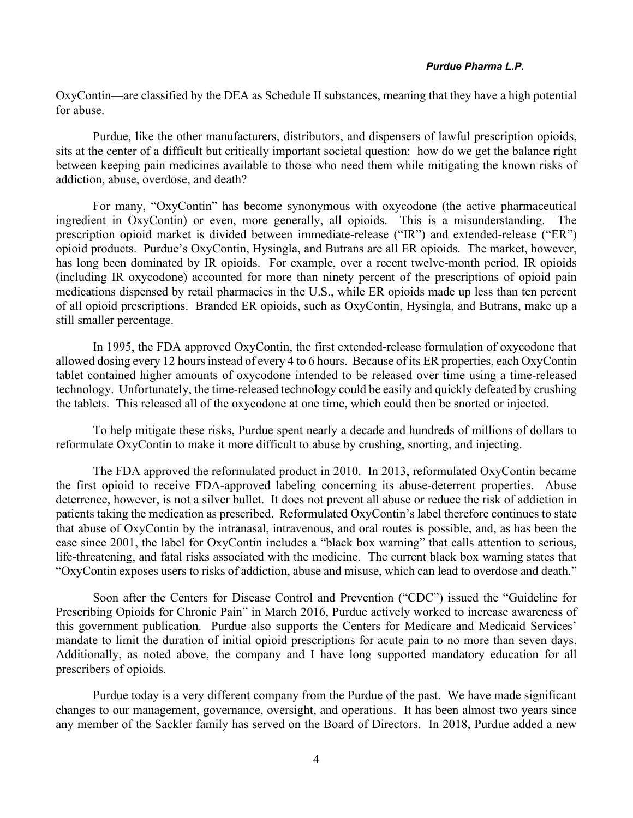OxyContin—are classified by the DEA as Schedule II substances, meaning that they have a high potential for abuse.

Purdue, like the other manufacturers, distributors, and dispensers of lawful prescription opioids, sits at the center of a difficult but critically important societal question: how do we get the balance right between keeping pain medicines available to those who need them while mitigating the known risks of addiction, abuse, overdose, and death?

For many, "OxyContin" has become synonymous with oxycodone (the active pharmaceutical ingredient in OxyContin) or even, more generally, all opioids. This is a misunderstanding. prescription opioid market is divided between immediate-release ("IR") and extended-release ("ER") opioid products. Purdue's OxyContin, Hysingla, and Butrans are all ER opioids. The market, however, has long been dominated by IR opioids. For example, over a recent twelve-month period, IR opioids (including IR oxycodone) accounted for more than ninety percent of the prescriptions of opioid pain medications dispensed by retail pharmacies in the U.S., while ER opioids made up less than ten percent of all opioid prescriptions. Branded ER opioids, such as OxyContin, Hysingla, and Butrans, make up a still smaller percentage.

In 1995, the FDA approved OxyContin, the first extended-release formulation of oxycodone that allowed dosing every 12 hours instead of every 4 to 6 hours. Because of its ER properties, each OxyContin tablet contained higher amounts of oxycodone intended to be released over time using a time-released technology. Unfortunately, the time-released technology could be easily and quickly defeated by crushing the tablets. This released all of the oxycodone at one time, which could then be snorted or injected.

To help mitigate these risks, Purdue spent nearly a decade and hundreds of millions of dollars to reformulate OxyContin to make it more difficult to abuse by crushing, snorting, and injecting.

The FDA approved the reformulated product in 2010. In 2013, reformulated OxyContin became the first opioid to receive FDA-approved labeling concerning its abuse-deterrent properties. Abuse deterrence, however, is not a silver bullet. It does not prevent all abuse or reduce the risk of addiction in patients taking the medication as prescribed. Reformulated OxyContin's label therefore continues to state that abuse of OxyContin by the intranasal, intravenous, and oral routes is possible, and, as has been the case since 2001, the label for OxyContin includes a "black box warning" that calls attention to serious, life-threatening, and fatal risks associated with the medicine. The current black box warning states that "OxyContin exposes users to risks of addiction, abuse and misuse, which can lead to overdose and death."

Soon after the Centers for Disease Control and Prevention ("CDC") issued the "Guideline for Prescribing Opioids for Chronic Pain" in March 2016, Purdue actively worked to increase awareness of this government publication. Purdue also supports the Centers for Medicare and Medicaid Services' mandate to limit the duration of initial opioid prescriptions for acute pain to no more than seven days. Additionally, as noted above, the company and I have long supported mandatory education for all prescribers of opioids.

Purdue today is a very different company from the Purdue of the past. We have made significant changes to our management, governance, oversight, and operations. It has been almost two years since any member of the Sackler family has served on the Board of Directors. In 2018, Purdue added a new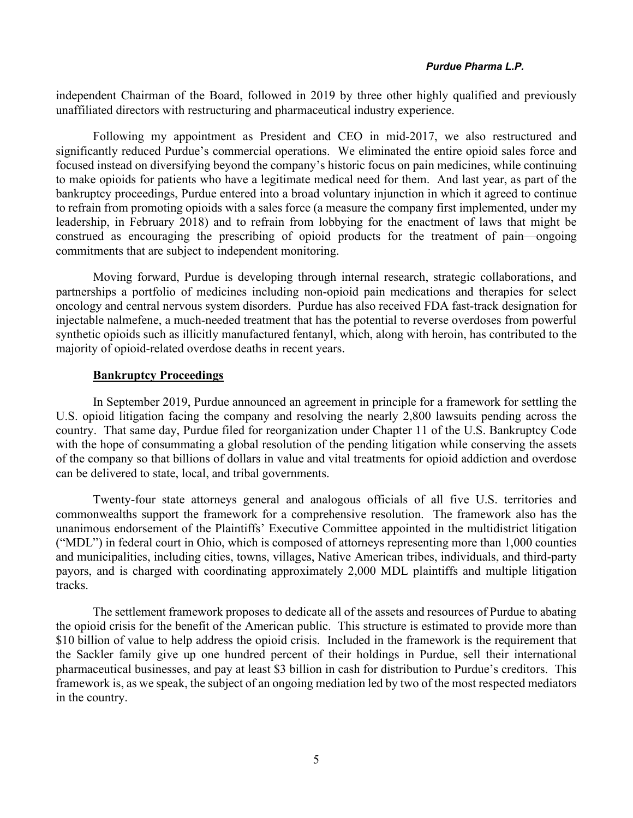independent Chairman of the Board, followed in 2019 by three other highly qualified and previously unaffiliated directors with restructuring and pharmaceutical industry experience.

Following my appointment as President and CEO in mid-2017, we also restructured and significantly reduced Purdue's commercial operations. We eliminated the entire opioid sales force and focused instead on diversifying beyond the company's historic focus on pain medicines, while continuing to make opioids for patients who have a legitimate medical need for them. And last year, as part of the bankruptcy proceedings, Purdue entered into a broad voluntary injunction in which it agreed to continue to refrain from promoting opioids with a sales force (a measure the company first implemented, under my leadership, in February 2018) and to refrain from lobbying for the enactment of laws that might be construed as encouraging the prescribing of opioid products for the treatment of pain—ongoing commitments that are subject to independent monitoring.

Moving forward, Purdue is developing through internal research, strategic collaborations, and partnerships a portfolio of medicines including non-opioid pain medications and therapies for select oncology and central nervous system disorders. Purdue has also received FDA fast-track designation for injectable nalmefene, a much-needed treatment that has the potential to reverse overdoses from powerful synthetic opioids such as illicitly manufactured fentanyl, which, along with heroin, has contributed to the majority of opioid-related overdose deaths in recent years.

### **Bankruptcy Proceedings**

In September 2019, Purdue announced an agreement in principle for a framework for settling the U.S. opioid litigation facing the company and resolving the nearly 2,800 lawsuits pending across the country. That same day, Purdue filed for reorganization under Chapter 11 of the U.S. Bankruptcy Code with the hope of consummating a global resolution of the pending litigation while conserving the assets of the company so that billions of dollars in value and vital treatments for opioid addiction and overdose can be delivered to state, local, and tribal governments.

Twenty-four state attorneys general and analogous officials of all five U.S. territories and commonwealths support the framework for a comprehensive resolution. The framework also has the unanimous endorsement of the Plaintiffs' Executive Committee appointed in the multidistrict litigation ("MDL") in federal court in Ohio, which is composed of attorneys representing more than 1,000 counties and municipalities, including cities, towns, villages, Native American tribes, individuals, and third-party payors, and is charged with coordinating approximately 2,000 MDL plaintiffs and multiple litigation tracks.

The settlement framework proposes to dedicate all of the assets and resources of Purdue to abating the opioid crisis for the benefit of the American public. This structure is estimated to provide more than \$10 billion of value to help address the opioid crisis. Included in the framework is the requirement that the Sackler family give up one hundred percent of their holdings in Purdue, sell their international pharmaceutical businesses, and pay at least \$3 billion in cash for distribution to Purdue's creditors. This framework is, as we speak, the subject of an ongoing mediation led by two of the most respected mediators in the country.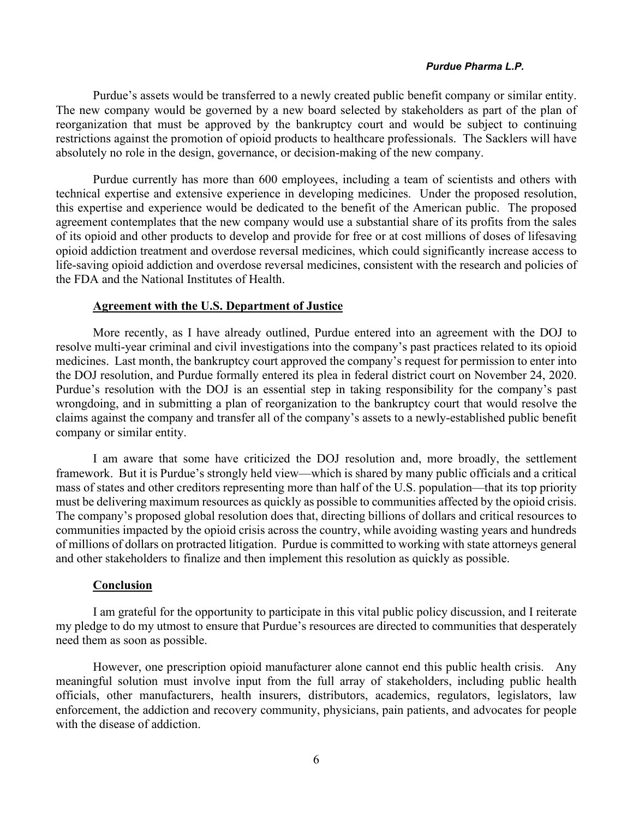Purdue's assets would be transferred to a newly created public benefit company or similar entity. The new company would be governed by a new board selected by stakeholders as part of the plan of reorganization that must be approved by the bankruptcy court and would be subject to continuing restrictions against the promotion of opioid products to healthcare professionals. The Sacklers will have absolutely no role in the design, governance, or decision-making of the new company.

Purdue currently has more than 600 employees, including a team of scientists and others with technical expertise and extensive experience in developing medicines. Under the proposed resolution, this expertise and experience would be dedicated to the benefit of the American public. The proposed agreement contemplates that the new company would use a substantial share of its profits from the sales of its opioid and other products to develop and provide for free or at cost millions of doses of lifesaving opioid addiction treatment and overdose reversal medicines, which could significantly increase access to life-saving opioid addiction and overdose reversal medicines, consistent with the research and policies of the FDA and the National Institutes of Health.

## **Agreement with the U.S. Department of Justice**

More recently, as I have already outlined, Purdue entered into an agreement with the DOJ to resolve multi-year criminal and civil investigations into the company's past practices related to its opioid medicines. Last month, the bankruptcy court approved the company's request for permission to enter into the DOJ resolution, and Purdue formally entered its plea in federal district court on November 24, 2020. Purdue's resolution with the DOJ is an essential step in taking responsibility for the company's past wrongdoing, and in submitting a plan of reorganization to the bankruptcy court that would resolve the claims against the company and transfer all of the company's assets to a newly-established public benefit company or similar entity.

I am aware that some have criticized the DOJ resolution and, more broadly, the settlement framework. But it is Purdue's strongly held view—which is shared by many public officials and a critical mass of states and other creditors representing more than half of the U.S. population—that its top priority must be delivering maximum resources as quickly as possible to communities affected by the opioid crisis. The company's proposed global resolution does that, directing billions of dollars and critical resources to communities impacted by the opioid crisis across the country, while avoiding wasting years and hundreds of millions of dollars on protracted litigation. Purdue is committed to working with state attorneys general and other stakeholders to finalize and then implement this resolution as quickly as possible.

#### **Conclusion**

I am grateful for the opportunity to participate in this vital public policy discussion, and I reiterate my pledge to do my utmost to ensure that Purdue's resources are directed to communities that desperately need them as soon as possible.

However, one prescription opioid manufacturer alone cannot end this public health crisis. Any meaningful solution must involve input from the full array of stakeholders, including public health officials, other manufacturers, health insurers, distributors, academics, regulators, legislators, law enforcement, the addiction and recovery community, physicians, pain patients, and advocates for people with the disease of addiction.